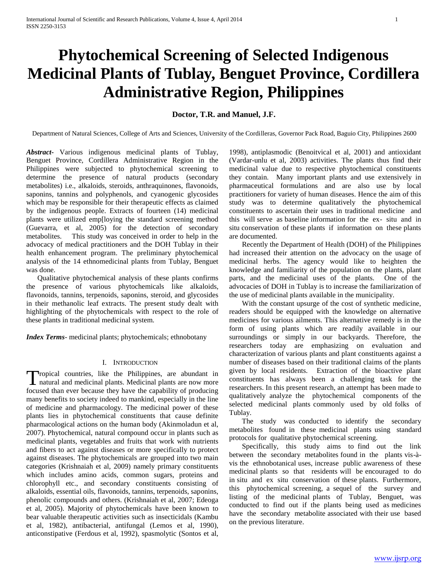# **Phytochemical Screening of Selected Indigenous Medicinal Plants of Tublay, Benguet Province, Cordillera Administrative Region, Philippines**

# **Doctor, T.R. and Manuel, J.F.**

Department of Natural Sciences, College of Arts and Sciences, University of the Cordilleras, Governor Pack Road, Baguio City, Philippines 2600

*Abstract***-** Various indigenous medicinal plants of Tublay, Benguet Province, Cordillera Administrative Region in the Philippines were subjected to phytochemical screening to determine the presence of natural products (secondary metabolites) i.e., alkaloids, steroids, anthraquinones, flavonoids, saponins, tannins and polyphenols, and cyanogenic glycosides which may be responsible for their therapeutic effects as claimed by the indigenous people. Extracts of fourteen (14) medicinal plants were utilized emp[loying the standard screening method (Guevarra, et al, 2005) for the detection of secondary metabolites. This study was conceived in order to help in the advocacy of medical practitioners and the DOH Tublay in their health enhancement program. The preliminary phytochemical analysis of the 14 ethnomedicinal plants from Tublay, Benguet was done.

 Qualitative phytochemical analysis of these plants confirms the presence of various phytochemicals like alkaloids, flavonoids, tannins, terpenoids, saponins, steroid, and glycosides in their methanolic leaf extracts. The present study dealt with highlighting of the phytochemicals with respect to the role of these plants in traditional medicinal system.

*Index Terms*- medicinal plants; phytochemicals; ethnobotany

## I. INTRODUCTION

ropical countries, like the Philippines, are abundant in Tropical countries, like the Philippines, are abundant in natural and medicinal plants. Medicinal plants are now more focused than ever because they have the capability of producing many benefits to society indeed to mankind, especially in the line of medicine and pharmacology. The medicinal power of these plants lies in phytochemical constituents that cause definite pharmacological actions on the human body (Akinmoladun et al, 2007). Phytochemical, natural compound occur in plants such as medicinal plants, vegetables and fruits that work with nutrients and fibers to act against diseases or more specifically to protect against diseases. The phytochemicals are grouped into two main categories (Krishnaiah et al, 2009) namely primary constituents which includes amino acids, common sugars, proteins and chlorophyll etc., and secondary constituents consisting of alkaloids, essential oils, flavonoids, tannins, terpenoids, saponins, phenolic compounds and others. (Krishnaiah et al, 2007; Edeoga et al, 2005). Majority of phytochemicals have been known to bear valuable therapeutic activities such as insecticidals (Kambu et al, 1982), antibacterial, antifungal (Lemos et al, 1990), anticonstipative (Ferdous et al, 1992), spasmolytic (Sontos et al,

1998), antiplasmodic (Benoitvical et al, 2001) and antioxidant (Vardar-unlu et al, 2003) activities. The plants thus find their medicinal value due to respective phytochemical constituents they contain. Many important plants and use extensively in pharmaceutical formulations and are also use by local practitioners for variety of human diseases. Hence the aim of this study was to determine qualitatively the phytochemical constituents to ascertain their uses in traditional medicine and this will serve as baseline information for the ex- situ and in situ conservation of these plants if information on these plants are documented.

 Recently the Department of Health (DOH) of the Philippines had increased their attention on the advocacy on the usage of medicinal herbs. The agency would like to heighten the knowledge and familiarity of the population on the plants, plant parts, and the medicinal uses of the plants. One of the advocacies of DOH in Tublay is to increase the familiarization of the use of medicinal plants available in the municipality.

 With the constant upsurge of the cost of synthetic medicine, readers should be equipped with the knowledge on alternative medicines for various ailments. This alternative remedy is in the form of using plants which are readily available in our surroundings or simply in our backyards. Therefore, the researchers today are emphasizing on evaluation and characterization of various plants and plant constituents against a number of diseases based on their traditional claims of the plants given by local residents. Extraction of the bioactive plant constituents has always been a challenging task for the researchers. In this present research, an attempt has been made to qualitatively analyze the phytochemical components of the selected medicinal plants commonly used by old folks of Tublay.

 The study was conducted to identify the secondary metabolites found in these medicinal plants using standard protocols for qualitative phytochemical screening.

 Specifically, this study aims to find out the link between the secondary metabolites found in the plants vis-àvis the ethnobotanical uses, increase public awareness of these medicinal plants so that residents will be encouraged to do in situ and ex situ conservation of these plants. Furthermore, this phytochemical screening, a sequel of the survey and listing of the medicinal plants of Tublay, Benguet, was conducted to find out if the plants being used as medicines have the secondary metabolite associated with their use based on the previous literature.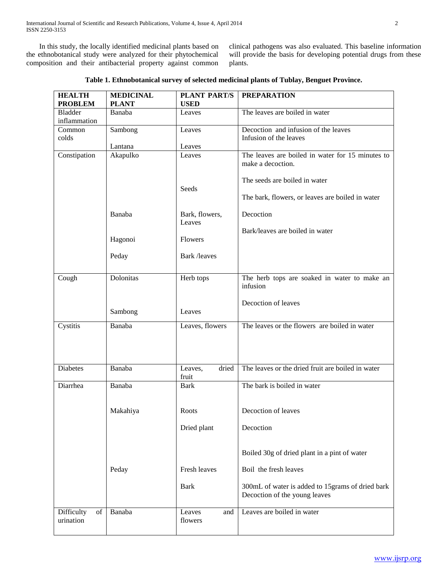In this study, the locally identified medicinal plants based on the ethnobotanical study were analyzed for their phytochemical composition and their antibacterial property against common clinical pathogens was also evaluated. This baseline information will provide the basis for developing potential drugs from these plants.

| Table 1. Ethnobotanical survey of selected medicinal plants of Tublay, Benguet Province. |  |  |
|------------------------------------------------------------------------------------------|--|--|
|                                                                                          |  |  |

| <b>HEALTH</b><br><b>PROBLEM</b> | <b>MEDICINAL</b><br><b>PLANT</b> | <b>PLANT PART/S</b><br><b>USED</b> | <b>PREPARATION</b>                                |
|---------------------------------|----------------------------------|------------------------------------|---------------------------------------------------|
| <b>Bladder</b>                  | Banaba                           | Leaves                             | The leaves are boiled in water                    |
| inflammation                    |                                  |                                    |                                                   |
| Common                          | Sambong                          | Leaves                             | Decoction and infusion of the leaves              |
| colds                           |                                  |                                    | Infusion of the leaves                            |
| Constipation                    | Lantana<br>Akapulko              | Leaves<br>Leaves                   | The leaves are boiled in water for 15 minutes to  |
|                                 |                                  |                                    | make a decoction.                                 |
|                                 |                                  |                                    |                                                   |
|                                 |                                  |                                    | The seeds are boiled in water                     |
|                                 |                                  | Seeds                              | The bark, flowers, or leaves are boiled in water  |
|                                 |                                  |                                    |                                                   |
|                                 | Banaba                           | Bark, flowers,                     | Decoction                                         |
|                                 |                                  | Leaves                             |                                                   |
|                                 |                                  |                                    | Bark/leaves are boiled in water                   |
|                                 | Hagonoi                          | <b>Flowers</b>                     |                                                   |
|                                 | Peday                            | Bark /leaves                       |                                                   |
|                                 |                                  |                                    |                                                   |
| Cough                           | Dolonitas                        | Herb tops                          | The herb tops are soaked in water to make an      |
|                                 |                                  |                                    | infusion                                          |
|                                 |                                  |                                    |                                                   |
|                                 |                                  |                                    | Decoction of leaves                               |
|                                 | Sambong                          | Leaves                             |                                                   |
| Cystitis                        | Banaba                           | Leaves, flowers                    | The leaves or the flowers are boiled in water     |
|                                 |                                  |                                    |                                                   |
|                                 |                                  |                                    |                                                   |
|                                 |                                  |                                    |                                                   |
| <b>Diabetes</b>                 | Banaba                           | dried<br>Leaves,                   | The leaves or the dried fruit are boiled in water |
|                                 |                                  | fruit                              |                                                   |
| Diarrhea                        | Banaba                           | <b>Bark</b>                        | The bark is boiled in water                       |
|                                 |                                  |                                    |                                                   |
|                                 | Makahiya                         | Roots                              | Decoction of leaves                               |
|                                 |                                  |                                    |                                                   |
|                                 |                                  | Dried plant                        | Decoction                                         |
|                                 |                                  |                                    |                                                   |
|                                 |                                  |                                    | Boiled 30g of dried plant in a pint of water      |
|                                 |                                  |                                    |                                                   |
|                                 | Peday                            | Fresh leaves                       | Boil the fresh leaves                             |
|                                 |                                  | <b>Bark</b>                        | 300mL of water is added to 15grams of dried bark  |
|                                 |                                  |                                    | Decoction of the young leaves                     |
|                                 |                                  |                                    |                                                   |
| Difficulty<br>of                | Banaba                           | Leaves<br>and                      | Leaves are boiled in water                        |
| urination                       |                                  | flowers                            |                                                   |
|                                 |                                  |                                    |                                                   |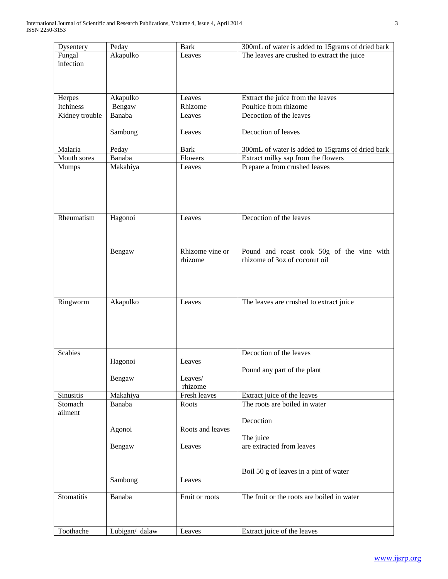| Akapulko<br>Fungal<br>The leaves are crushed to extract the juice<br>Leaves<br>infection<br>Akapulko<br>Extract the juice from the leaves<br>Herpes<br>Leaves<br>Poultice from rhizome<br>Itchiness<br>Bengaw<br>Rhizome<br>Decoction of the leaves<br>Kidney trouble<br>Banaba<br>Leaves |  |
|-------------------------------------------------------------------------------------------------------------------------------------------------------------------------------------------------------------------------------------------------------------------------------------------|--|
|                                                                                                                                                                                                                                                                                           |  |
|                                                                                                                                                                                                                                                                                           |  |
|                                                                                                                                                                                                                                                                                           |  |
|                                                                                                                                                                                                                                                                                           |  |
|                                                                                                                                                                                                                                                                                           |  |
|                                                                                                                                                                                                                                                                                           |  |
|                                                                                                                                                                                                                                                                                           |  |
|                                                                                                                                                                                                                                                                                           |  |
|                                                                                                                                                                                                                                                                                           |  |
| Decoction of leaves<br>Sambong<br>Leaves                                                                                                                                                                                                                                                  |  |
| Malaria<br><b>Bark</b>                                                                                                                                                                                                                                                                    |  |
| 300mL of water is added to 15 grams of dried bark<br>Peday<br>Mouth sores<br>Extract milky sap from the flowers<br>Banaba<br>Flowers                                                                                                                                                      |  |
| Prepare a from crushed leaves<br>Leaves                                                                                                                                                                                                                                                   |  |
| Makahiya<br>Mumps                                                                                                                                                                                                                                                                         |  |
|                                                                                                                                                                                                                                                                                           |  |
|                                                                                                                                                                                                                                                                                           |  |
|                                                                                                                                                                                                                                                                                           |  |
|                                                                                                                                                                                                                                                                                           |  |
| Decoction of the leaves<br>Rheumatism<br>Hagonoi<br>Leaves                                                                                                                                                                                                                                |  |
|                                                                                                                                                                                                                                                                                           |  |
|                                                                                                                                                                                                                                                                                           |  |
|                                                                                                                                                                                                                                                                                           |  |
| Rhizome vine or<br>Pound and roast cook 50g of the vine with<br>Bengaw                                                                                                                                                                                                                    |  |
| rhizome of 3oz of coconut oil<br>rhizome                                                                                                                                                                                                                                                  |  |
|                                                                                                                                                                                                                                                                                           |  |
|                                                                                                                                                                                                                                                                                           |  |
|                                                                                                                                                                                                                                                                                           |  |
|                                                                                                                                                                                                                                                                                           |  |
| Akapulko<br>Ringworm<br>Leaves<br>The leaves are crushed to extract juice                                                                                                                                                                                                                 |  |
|                                                                                                                                                                                                                                                                                           |  |
|                                                                                                                                                                                                                                                                                           |  |
|                                                                                                                                                                                                                                                                                           |  |
|                                                                                                                                                                                                                                                                                           |  |
| <b>Scabies</b><br>Decoction of the leaves                                                                                                                                                                                                                                                 |  |
| Hagonoi<br>Leaves                                                                                                                                                                                                                                                                         |  |
| Pound any part of the plant                                                                                                                                                                                                                                                               |  |
| Bengaw<br>Leaves/                                                                                                                                                                                                                                                                         |  |
| rhizome                                                                                                                                                                                                                                                                                   |  |
| Sinusitis<br>Fresh leaves<br>Extract juice of the leaves<br>Makahiya                                                                                                                                                                                                                      |  |
| The roots are boiled in water<br>Stomach<br>Banaba<br>Roots                                                                                                                                                                                                                               |  |
| ailment                                                                                                                                                                                                                                                                                   |  |
| Decoction                                                                                                                                                                                                                                                                                 |  |
| Agonoi<br>Roots and leaves                                                                                                                                                                                                                                                                |  |
| The juice                                                                                                                                                                                                                                                                                 |  |
| are extracted from leaves<br>Leaves<br>Bengaw                                                                                                                                                                                                                                             |  |
|                                                                                                                                                                                                                                                                                           |  |
|                                                                                                                                                                                                                                                                                           |  |
| Boil 50 g of leaves in a pint of water<br>Leaves                                                                                                                                                                                                                                          |  |
| Sambong                                                                                                                                                                                                                                                                                   |  |
| The fruit or the roots are boiled in water<br>Stomatitis<br>Banaba<br>Fruit or roots                                                                                                                                                                                                      |  |
|                                                                                                                                                                                                                                                                                           |  |
|                                                                                                                                                                                                                                                                                           |  |
|                                                                                                                                                                                                                                                                                           |  |
| Extract juice of the leaves<br>Toothache<br>Lubigan/ dalaw<br>Leaves                                                                                                                                                                                                                      |  |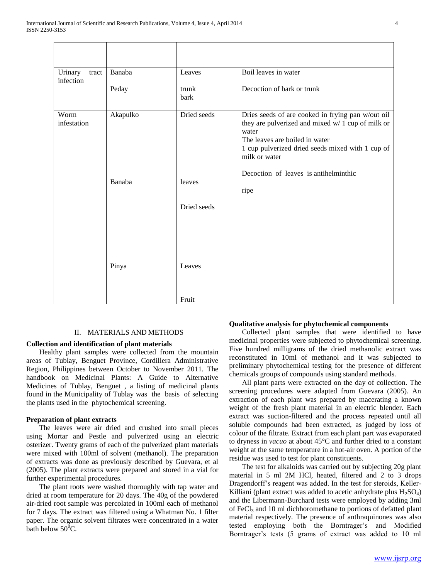| Urinary<br>tract    | Banaba   | Leaves                | Boil leaves in water                                                                                                                                                                                                   |
|---------------------|----------|-----------------------|------------------------------------------------------------------------------------------------------------------------------------------------------------------------------------------------------------------------|
| infection           | Peday    | trunk<br>bark         | Decoction of bark or trunk                                                                                                                                                                                             |
| Worm<br>infestation | Akapulko | Dried seeds           | Dries seeds of are cooked in frying pan w/out oil<br>they are pulverized and mixed w/ 1 cup of milk or<br>water<br>The leaves are boiled in water<br>1 cup pulverized dried seeds mixed with 1 cup of<br>milk or water |
|                     | Banaba   | leaves                | Decoction of leaves is antihelminthic<br>ripe                                                                                                                                                                          |
|                     | Pinya    | Dried seeds<br>Leaves |                                                                                                                                                                                                                        |
|                     |          | Fruit                 |                                                                                                                                                                                                                        |

# II. MATERIALS AND METHODS

## **Collection and identification of plant materials**

 Healthy plant samples were collected from the mountain areas of Tublay, Benguet Province, Cordillera Administrative Region, Philippines between October to November 2011. The handbook on Medicinal Plants: A Guide to Alternative Medicines of Tublay, Benguet , a listing of medicinal plants found in the Municipality of Tublay was the basis of selecting the plants used in the phytochemical screening.

## **Preparation of plant extracts**

 The leaves were air dried and crushed into small pieces using Mortar and Pestle and pulverized using an electric osterizer. Twenty grams of each of the pulverized plant materials were mixed with 100ml of solvent (methanol). The preparation of extracts was done as previously described by Guevara, et al (2005). The plant extracts were prepared and stored in a vial for further experimental procedures.

 The plant roots were washed thoroughly with tap water and dried at room temperature for 20 days. The 40g of the powdered air-dried root sample was percolated in 100ml each of methanol for 7 days. The extract was filtered using a Whatman No. 1 filter paper. The organic solvent filtrates were concentrated in a water bath below  $50^0C$ .

#### **Qualitative analysis for phytochemical components**

 Collected plant samples that were identified to have medicinal properties were subjected to phytochemical screening. Five hundred milligrams of the dried methanolic extract was reconstituted in 10ml of methanol and it was subjected to preliminary phytochemical testing for the presence of different chemicals groups of compounds using standard methods.

 All plant parts were extracted on the day of collection. The screening procedures were adapted from Guevara (2005). An extraction of each plant was prepared by macerating a known weight of the fresh plant material in an electric blender. Each extract was suction-filtered and the process repeated until all soluble compounds had been extracted, as judged by loss of colour of the filtrate. Extract from each plant part was evaporated to dryness in *vacuo* at about 45°C and further dried to a constant weight at the same temperature in a hot-air oven. A portion of the residue was used to test for plant constituents.

 The test for alkaloids was carried out by subjecting 20g plant material in 5 ml 2M HCl, heated, filtered and 2 to 3 drops Dragendorff's reagent was added. In the test for steroids, Keller-Killiani (plant extract was added to acetic anhydrate plus  $H_2SO_4$ ) and the Libermann-Burchard tests were employed by adding 3ml of FeCl<sub>3</sub> and 10 ml dichhoromethane to portions of defatted plant material respectively. The presence of anthraquinones was also tested employing both the Borntrager's and Modified Borntrager's tests (5 grams of extract was added to 10 ml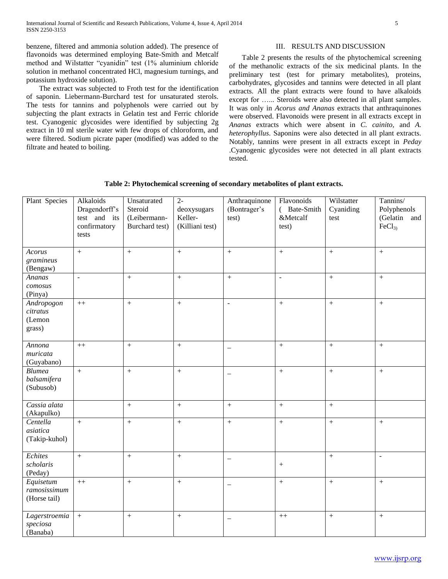benzene, filtered and ammonia solution added). The presence of flavonoids was determined employing Bate-Smith and Metcalf method and Wilstatter "cyanidin" test (1% aluminium chloride solution in methanol concentrated HCl, magnesium turnings, and potassium hydroxide solution).

 The extract was subjected to Froth test for the identification of saponin. Liebermann-Burchard test for unsaturated sterols. The tests for tannins and polyphenols were carried out by subjecting the plant extracts in Gelatin test and Ferric chloride test. Cyanogenic glycosides were identified by subjecting 2g extract in 10 ml sterile water with few drops of chloroform, and were filtered. Sodium picrate paper (modified) was added to the filtrate and heated to boiling.

# III. RESULTS AND DISCUSSION

 Table 2 presents the results of the phytochemical screening of the methanolic extracts of the six medicinal plants. In the preliminary test (test for primary metabolites), proteins, carbohydrates, glycosides and tannins were detected in all plant extracts. All the plant extracts were found to have alkaloids except for …..*.* Steroids were also detected in all plant samples. It was only in *Acorus and Ananas* extracts that anthraquinones were observed. Flavonoids were present in all extracts except in *Ananas* extracts which were absent in *C. cainito,* and *A. heterophyllus*. Saponins were also detected in all plant extracts. Notably, tannins were present in all extracts except in *Peday* .Cyanogenic glycosides were not detected in all plant extracts tested.

| Plant Species                              | Alkaloids<br>Dragendorff's<br>test and its<br>confirmatory<br>tests | Unsaturated<br>Steroid<br>(Leibermann-<br>Burchard test) | $\overline{2}$<br>deoxysugars<br>Keller-<br>(Killiani test) | Anthraquinone<br>(Bontrager's<br>test) | Flavonoids<br>(Bate-Smith<br>&Metcalf<br>test) | Wilstatter<br>Cyaniding<br>test | Tannins/<br>Polyphenols<br>(Gelatin and<br>FeCl <sub>3</sub> |
|--------------------------------------------|---------------------------------------------------------------------|----------------------------------------------------------|-------------------------------------------------------------|----------------------------------------|------------------------------------------------|---------------------------------|--------------------------------------------------------------|
| Acorus<br>gramineus<br>(Bengaw)            | $\pm$                                                               | $\qquad \qquad +$                                        | $\qquad \qquad +$                                           | $\ddot{}$                              | $\qquad \qquad +$                              | $\qquad \qquad +$               | $\boldsymbol{+}$                                             |
| Ananas<br>comosus<br>(Pinya)               | $\Box$                                                              | $\, +$                                                   | $\, +$                                                      | $\ddot{}$                              | $\overline{\phantom{a}}$                       | $\qquad \qquad +$               | $\ddot{}$                                                    |
| Andropogon<br>citratus<br>(Lemon<br>grass) | $\boldsymbol{++}$                                                   | $+$                                                      | $+$                                                         | $\omega$                               | $\! +$                                         | $^{+}$                          | $+$                                                          |
| Annona<br>muricata<br>(Guyabano)           | $++$                                                                | $+$                                                      | $+$                                                         | $\qquad \qquad -$                      | $+$                                            | $+$                             | $+$                                                          |
| <b>Blumea</b><br>balsamifera<br>(Subusob)  | $\, +$                                                              | $\, +$                                                   | $\, +$                                                      | $=$                                    | $\! +$                                         | $\boldsymbol{+}$                | $\, +$                                                       |
| Cassia alata<br>(Akapulko)                 |                                                                     | $\, +$                                                   | $\, +$                                                      | $\, +$                                 | $\pm$                                          | $\qquad \qquad +$               |                                                              |
| Centella<br>asiatica<br>(Takip-kuhol)      | $+$                                                                 | $\, +$                                                   | $\pm$                                                       | $\ddot{}$                              | $\, +$                                         | $\qquad \qquad +$               | $\, +$                                                       |
| Echites<br>scholaris<br>(Peday)            | $+$                                                                 | $\, +$                                                   | $\pm$                                                       | $\qquad \qquad -$                      | $\boldsymbol{+}$                               | $\ddot{}$                       | $\blacksquare$                                               |
| Equisetum<br>ramosissimum<br>(Horse tail)  | $++$                                                                | $\qquad \qquad +$                                        | $\pm$                                                       | $\equiv$                               | $+$                                            | $\ddot{}$                       | $\ddot{}$                                                    |
| Lagerstroemia<br>speciosa<br>(Banaba)      | $\, +$                                                              | $\, +$                                                   | $\boldsymbol{+}$                                            |                                        | $++$                                           | $\qquad \qquad +$               | $\, +$                                                       |

|  |  | Table 2: Phytochemical screening of secondary metabolites of plant extracts. |
|--|--|------------------------------------------------------------------------------|
|--|--|------------------------------------------------------------------------------|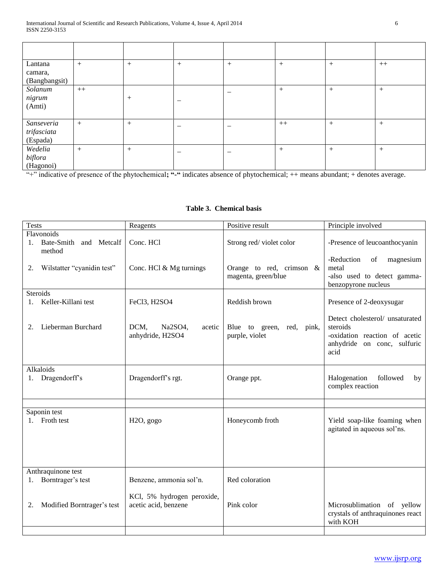| Lantana<br>camara,<br>(Bangbangsit)   | $+$  | $^{+}$ | $^{+}$ | $^{+}$ | $+$    | $+$    | $++$ |
|---------------------------------------|------|--------|--------|--------|--------|--------|------|
| Solanum<br>nigrum<br>(Amti)           | $++$ | $^{+}$ |        |        | $+$    | $+$    | $+$  |
| Sanseveria<br>trifasciata<br>(Espada) | $+$  | $^{+}$ |        |        | $++$   | $+$    | $+$  |
| Wedelia<br>biflora<br>(Hagonoi)       | $+$  | $^{+}$ |        |        | $^{+}$ | $^{+}$ | $+$  |

"+" indicative of presence of the phytochemical**; "-"** indicates absence of phytochemical; ++ means abundant; + denotes average.

# **Table 3. Chemical basis**

| <b>Tests</b>                                      | Reagents                                           | Positive result                                    | Principle involved                                                                                                                                                                           |
|---------------------------------------------------|----------------------------------------------------|----------------------------------------------------|----------------------------------------------------------------------------------------------------------------------------------------------------------------------------------------------|
| Flavonoids<br>1. Bate-Smith and Metcalf<br>method | Conc. HCl                                          | Strong red/violet color                            | -Presence of leucoanthocyanin                                                                                                                                                                |
| Wilstatter "cyanidin test"<br>2.                  | Conc. HCl & Mg turnings                            | Orange to red, crimson $\&$<br>magenta, green/blue | -Reduction<br>$% \left( \left( \mathcal{A},\mathcal{A}\right) \right) =\left( \mathcal{A},\mathcal{A}\right)$ of<br>magnesium<br>metal<br>-also used to detect gamma-<br>benzopyrone nucleus |
| <b>Steroids</b>                                   |                                                    |                                                    |                                                                                                                                                                                              |
| Keller-Killani test<br>1.                         | FeCl3, H2SO4                                       | Reddish brown                                      | Presence of 2-deoxysugar                                                                                                                                                                     |
| Lieberman Burchard<br>2.                          | DCM,<br>Na2SO4,<br>acetic<br>anhydride, H2SO4      | Blue to green, red, pink,<br>purple, violet        | Detect cholesterol/ unsaturated<br>steroids<br>-oxidation reaction of acetic<br>anhydride on conc, sulfuric<br>acid                                                                          |
| Alkaloids                                         |                                                    |                                                    |                                                                                                                                                                                              |
| Dragendorff's<br>1.                               | Dragendorff's rgt.                                 | Orange ppt.                                        | Halogenation<br>followed<br>by<br>complex reaction                                                                                                                                           |
|                                                   |                                                    |                                                    |                                                                                                                                                                                              |
| Saponin test<br>Froth test                        | H <sub>2O</sub> , gogo                             | Honeycomb froth                                    | Yield soap-like foaming when<br>agitated in aqueous sol'ns.                                                                                                                                  |
| Anthraquinone test                                |                                                    |                                                    |                                                                                                                                                                                              |
| Borntrager's test<br>1.                           | Benzene, ammonia sol'n.                            | Red coloration                                     |                                                                                                                                                                                              |
| Modified Borntrager's test<br>2.                  | KCl, 5% hydrogen peroxide,<br>acetic acid, benzene | Pink color                                         | Microsublimation of yellow<br>crystals of anthraquinones react<br>with KOH                                                                                                                   |
|                                                   |                                                    |                                                    |                                                                                                                                                                                              |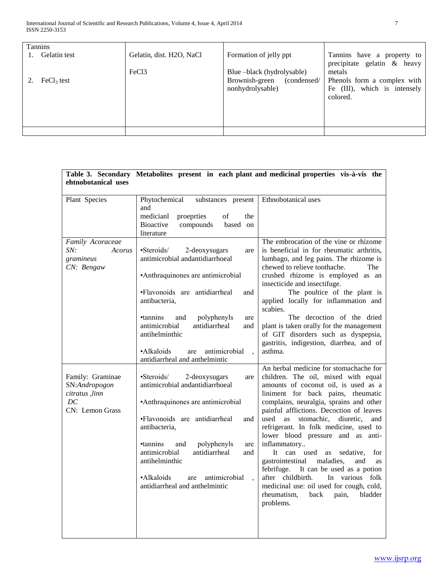| <b>Tannins</b> |                          |                            |                              |
|----------------|--------------------------|----------------------------|------------------------------|
| Gelatin test   | Gelatin, dist. H2O, NaCl | Formation of jelly ppt     | Tannins have a property to   |
|                |                          |                            | precipitate gelatin & heavy  |
|                | FeC <sub>13</sub>        | Blue -black (hydrolysable) | metals                       |
| $FeCl3$ test   |                          | Brownish-green (condensed/ | Phenols form a complex with  |
|                |                          | nonhydrolysable)           | Fe (III), which is intensely |
|                |                          |                            | colored.                     |
|                |                          |                            |                              |
|                |                          |                            |                              |
|                |                          |                            |                              |
|                |                          |                            |                              |

| ehtnobotanical uses                                                           |                                                                                                                                                                                                                                                                                                                                                                             | Table 3. Secondary Metabolites present in each plant and medicinal properties vis-à-vis the                                                                                                                                                                                                                                                                                                                                                                                                                                                                                                                                                                             |
|-------------------------------------------------------------------------------|-----------------------------------------------------------------------------------------------------------------------------------------------------------------------------------------------------------------------------------------------------------------------------------------------------------------------------------------------------------------------------|-------------------------------------------------------------------------------------------------------------------------------------------------------------------------------------------------------------------------------------------------------------------------------------------------------------------------------------------------------------------------------------------------------------------------------------------------------------------------------------------------------------------------------------------------------------------------------------------------------------------------------------------------------------------------|
| Plant Species                                                                 | Phytochemical<br>substances present<br>and<br>medicianl<br>proeprties<br>of<br>the<br><b>Bioactive</b><br>compounds<br>based on<br>literature                                                                                                                                                                                                                               | Ethnobotanical uses                                                                                                                                                                                                                                                                                                                                                                                                                                                                                                                                                                                                                                                     |
| Family Acoraceae<br>SN:<br>Acorus<br>gramineus<br>CN: Bengaw                  | •Steroids/<br>2-deoxysugars<br>are<br>antimicrobial andantidiarrhoeal<br>•Anthraquinones are antimicrobial<br>•Flavonoids are antidiarrheal<br>and<br>antibacteria,<br>•tannins<br>and<br>polyphenyls<br>are<br>antimicrobial<br>antidiarrheal<br>and<br>antihelminthic<br>•Alkaloids<br>antimicrobial<br>are<br>$\overline{\phantom{a}}$<br>antidiarrheal and anthelmintic | The embrocation of the vine or rhizome<br>is beneficial in for rheumatic arthritis,<br>lumbago, and leg pains. The rhizome is<br>chewed to relieve toothache.<br>The <sub>1</sub><br>crushed rhizome is employed as an<br>insecticide and insectifuge.<br>The poultice of the plant is<br>applied locally for inflammation and<br>scabies.<br>The decoction of the dried<br>plant is taken orally for the management<br>of GIT disorders such as dyspepsia,<br>gastritis, indigestion, diarrhea, and of<br>asthma.                                                                                                                                                      |
| Family: Graminae<br>SN:Andropogon<br>citratus , linn<br>DC<br>CN: Lemon Grass | •Steroids/<br>2-deoxysugars<br>are<br>antimicrobial andantidiarrhoeal<br>•Anthraquinones are antimicrobial<br>•Flavonoids are antidiarrheal<br>and<br>antibacteria,<br>•tannins<br>polyphenyls<br>and<br>are<br>antimicrobial<br>antidiarrheal<br>and<br>antihelminthic<br>•Alkaloids<br>antimicrobial<br>are<br>$\overline{ }$<br>antidiarrheal and anthelmintic           | An herbal medicine for stomachache for<br>children. The oil, mixed with equal<br>amounts of coconut oil, is used as a<br>liniment for back pains, rheumatic<br>complains, neuralgia, sprains and other<br>painful afflictions. Decoction of leaves<br>used as stomachic, diuretic,<br>and<br>refrigerant. In folk medicine, used to<br>lower blood pressure and as anti-<br>inflammatory<br>It can used<br>sedative.<br>as<br>for<br>gastrointestinal<br>maladies,<br>and<br>as<br>It can be used as a potion<br>febrifuge.<br>after childbirth.<br>In various folk<br>medicinal use: oil used for cough, cold,<br>rheumatism,<br>back<br>pain,<br>bladder<br>problems. |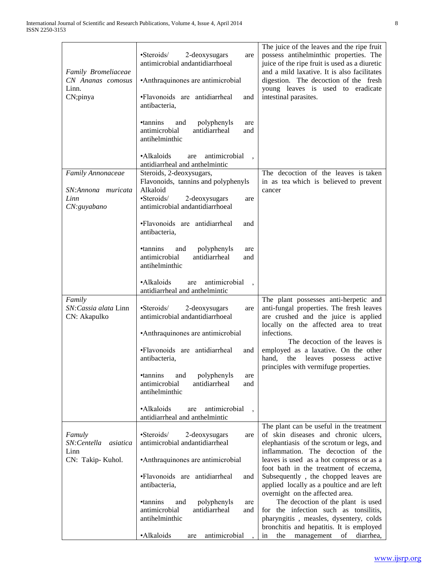| Family Bromeliaceae<br>CN Ananas comosus<br>Linn.<br>CN;pinya | •Steroids/<br>2-deoxysugars<br>are<br>antimicrobial andantidiarrhoeal<br>•Anthraquinones are antimicrobial<br>•Flavonoids are antidiarrheal<br>and<br>antibacteria, | The juice of the leaves and the ripe fruit<br>possess antihelminthic properties. The<br>juice of the ripe fruit is used as a diuretic<br>and a mild laxative. It is also facilitates<br>digestion. The decoction of the fresh<br>young leaves is used to eradicate<br>intestinal parasites. |
|---------------------------------------------------------------|---------------------------------------------------------------------------------------------------------------------------------------------------------------------|---------------------------------------------------------------------------------------------------------------------------------------------------------------------------------------------------------------------------------------------------------------------------------------------|
|                                                               | •tannins<br>and<br>polyphenyls<br>are<br>antidiarrheal<br>antimicrobial<br>and<br>antihelminthic                                                                    |                                                                                                                                                                                                                                                                                             |
|                                                               | •Alkaloids<br>antimicrobial<br>are<br>antidiarrheal and anthelmintic                                                                                                |                                                                                                                                                                                                                                                                                             |
| Family Annonaceae<br>SN:Annona muricata<br>Linn               | Steroids, 2-deoxysugars,<br>Flavonoids, tannins and polyphenyls<br>Alkaloid<br>•Steroids/<br>2-deoxysugars<br>are                                                   | The decoction of the leaves is taken<br>in as tea which is believed to prevent<br>cancer                                                                                                                                                                                                    |
| CN: guyabano                                                  | antimicrobial andantidiarrhoeal                                                                                                                                     |                                                                                                                                                                                                                                                                                             |
|                                                               | ·Flavonoids are antidiarrheal<br>and<br>antibacteria,                                                                                                               |                                                                                                                                                                                                                                                                                             |
|                                                               | •tannins<br>and<br>polyphenyls<br>are<br>antimicrobial<br>antidiarrheal<br>and<br>antihelminthic                                                                    |                                                                                                                                                                                                                                                                                             |
|                                                               | ·Alkaloids<br>antimicrobial<br>are<br>antidiarrheal and anthelmintic                                                                                                |                                                                                                                                                                                                                                                                                             |
| Family<br>SN: Cassia alata Linn<br>CN: Akapulko               | •Steroids/<br>2-deoxysugars<br>are<br>antimicrobial andantidiarrhoeal<br>•Anthraquinones are antimicrobial                                                          | The plant possesses anti-herpetic and<br>anti-fungal properties. The fresh leaves<br>are crushed and the juice is applied<br>locally on the affected area to treat<br>infections.                                                                                                           |
|                                                               |                                                                                                                                                                     | The decoction of the leaves is                                                                                                                                                                                                                                                              |
|                                                               | •Flavonoids are antidiarrheal<br>and<br>antibacteria,                                                                                                               | employed as a laxative. On the other<br>hand,<br>the<br>active<br>leaves<br>possess<br>principles with vermifuge properties.                                                                                                                                                                |
|                                                               | polyphenyls<br>•tannins<br>and<br>are<br>antidiarrheal<br>antimicrobial<br>and<br>antihelminthic                                                                    |                                                                                                                                                                                                                                                                                             |
|                                                               | ·Alkaloids<br>antimicrobial<br>are<br>antidiarrheal and anthelmintic                                                                                                |                                                                                                                                                                                                                                                                                             |
| Famuly<br>SN:Centella<br>asiatica<br>Linn                     | ·Steroids/<br>2-deoxysugars<br>are<br>antimicrobial andantidiarrheal                                                                                                | The plant can be useful in the treatment<br>of skin diseases and chronic ulcers,<br>elephantiasis of the scrotum or legs, and<br>inflammation. The decoction of the                                                                                                                         |
| CN: Takip-Kuhol.                                              | •Anthraquinones are antimicrobial                                                                                                                                   | leaves is used as a hot compress or as a                                                                                                                                                                                                                                                    |
|                                                               | •Flavonoids are antidiarrheal<br>and<br>antibacteria,                                                                                                               | foot bath in the treatment of eczema,<br>Subsequently, the chopped leaves are<br>applied locally as a poultice and are left                                                                                                                                                                 |
|                                                               | polyphenyls<br>•tannins<br>and<br>are<br>antidiarrheal<br>antimicrobial<br>and<br>antihelminthic                                                                    | overnight on the affected area.<br>The decoction of the plant is used<br>for the infection such as tonsilitis,<br>pharyngitis, measles, dysentery, colds<br>bronchitis and hepatitis. It is employed                                                                                        |
|                                                               | •Alkaloids<br>antimicrobial<br>are                                                                                                                                  | of<br>the<br>management<br>diarrhea,<br>in                                                                                                                                                                                                                                                  |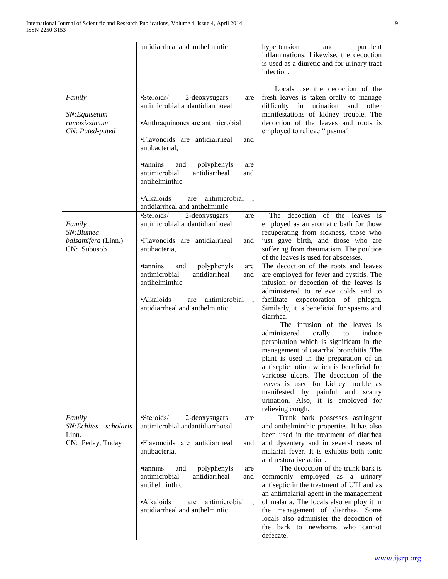|                                                                | antidiarrheal and anthelmintic                                                                                                                                                                                                                                                                                                                                              | hypertension<br>and<br>purulent<br>inflammations. Likewise, the decoction<br>is used as a diuretic and for urinary tract<br>infection.                                                                                                                                                                                                                                                                                                                                                                                                                                                                                                                                                                                                                                                                                                                                                                                                                       |
|----------------------------------------------------------------|-----------------------------------------------------------------------------------------------------------------------------------------------------------------------------------------------------------------------------------------------------------------------------------------------------------------------------------------------------------------------------|--------------------------------------------------------------------------------------------------------------------------------------------------------------------------------------------------------------------------------------------------------------------------------------------------------------------------------------------------------------------------------------------------------------------------------------------------------------------------------------------------------------------------------------------------------------------------------------------------------------------------------------------------------------------------------------------------------------------------------------------------------------------------------------------------------------------------------------------------------------------------------------------------------------------------------------------------------------|
| Family<br>SN: Equisetum<br>ramosissimum<br>CN: Puted-puted     | $\cdot$ Steroids/<br>2-deoxysugars<br>are<br>antimicrobial andantidiarrhoeal<br>•Anthraquinones are antimicrobial<br>•Flavonoids are antidiarrheal<br>and<br>antibacterial,<br>•tannins<br>polyphenyls<br>and<br>are<br>antimicrobial<br>antidiarrheal<br>and<br>antihelminthic<br>•Alkaloids<br>antimicrobial<br>are                                                       | Locals use the decoction of the<br>fresh leaves is taken orally to manage<br>difficulty in urination<br>and<br>other<br>manifestations of kidney trouble. The<br>decoction of the leaves and roots is<br>employed to relieve "pasma"                                                                                                                                                                                                                                                                                                                                                                                                                                                                                                                                                                                                                                                                                                                         |
| Family<br>SN:Blumea<br>balsamifera (Linn.)<br>CN: Subusob      | antidiarrheal and anthelmintic<br>•Steroids/<br>2-deoxysugars<br>are<br>antimicrobial andantidiarrhoeal<br>•Flavonoids are antidiarrheal<br>and<br>antibacteria,<br><b>•tannins</b><br>polyphenyls<br>and<br>are<br>antimicrobial<br>antidiarrheal<br>and<br>antihelminthic<br>•Alkaloids<br>antimicrobial<br>are<br>$\ddot{\phantom{0}}$<br>antidiarrheal and anthelmintic | The decoction of the leaves is<br>employed as an aromatic bath for those<br>recuperating from sickness, those who<br>just gave birth, and those who are<br>suffering from rheumatism. The poultice<br>of the leaves is used for abscesses.<br>The decoction of the roots and leaves<br>are employed for fever and cystitis. The<br>infusion or decoction of the leaves is<br>administered to relieve colds and to<br>facilitate expectoration of phlegm.<br>Similarly, it is beneficial for spasms and<br>diarrhea.<br>The infusion of the leaves is<br>administered<br>orally<br>induce<br>to<br>perspiration which is significant in the<br>management of catarrhal bronchitis. The<br>plant is used in the preparation of an<br>antiseptic lotion which is beneficial for<br>varicose ulcers. The decoction of the<br>leaves is used for kidney trouble as<br>manifested by painful and scanty<br>urination. Also, it is employed for<br>relieving cough. |
| Family<br>SN:Echites<br>scholaris<br>Linn.<br>CN: Peday, Tuday | •Steroids/<br>2-deoxysugars<br>are<br>antimicrobial andantidiarrhoeal<br>•Flavonoids are antidiarrheal<br>and<br>antibacteria,<br><i>•tannins</i><br>polyphenyls<br>and<br>are<br>antimicrobial<br>antidiarrheal<br>and<br>antihelminthic<br>·Alkaloids<br>antimicrobial<br>are<br>antidiarrheal and anthelmintic                                                           | Trunk bark possesses astringent<br>and anthelminthic properties. It has also<br>been used in the treatment of diarrhea<br>and dysentery and in several cases of<br>malarial fever. It is exhibits both tonic<br>and restorative action.<br>The decoction of the trunk bark is<br>commonly employed as a urinary<br>antiseptic in the treatment of UTI and as<br>an antimalarial agent in the management<br>of malaria. The locals also employ it in<br>the management of diarrhea. Some<br>locals also administer the decoction of<br>the bark to newborns who cannot<br>defecate.                                                                                                                                                                                                                                                                                                                                                                           |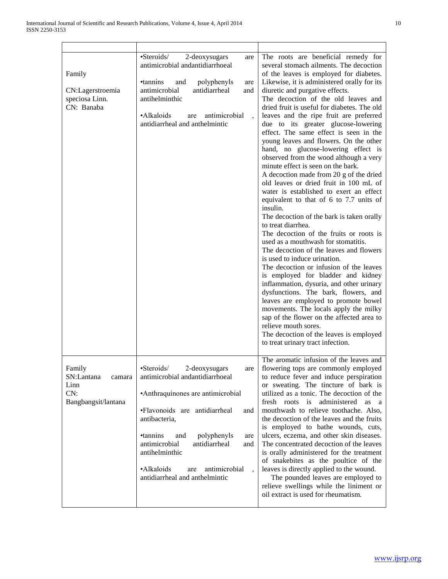| Family<br>CN:Lagerstroemia<br>speciosa Linn.<br>CN: Banaba           | •Steroids/<br>2-deoxysugars<br>are<br>antimicrobial andantidiarrhoeal<br><i>•tannins</i><br>polyphenyls<br>and<br>are<br>antimicrobial<br>antidiarrheal<br>and<br>antihelminthic<br>·Alkaloids<br>antimicrobial<br>are<br>antidiarrheal and anthelmintic                                                                                                      | The roots are beneficial remedy for<br>several stomach ailments. The decoction<br>of the leaves is employed for diabetes.<br>Likewise, it is administered orally for its<br>diuretic and purgative effects.<br>The decoction of the old leaves and<br>dried fruit is useful for diabetes. The old<br>leaves and the ripe fruit are preferred<br>due to its greater glucose-lowering<br>effect. The same effect is seen in the<br>young leaves and flowers. On the other<br>hand, no glucose-lowering effect is<br>observed from the wood although a very<br>minute effect is seen on the bark.<br>A decoction made from 20 g of the dried<br>old leaves or dried fruit in 100 mL of<br>water is established to exert an effect<br>equivalent to that of 6 to 7.7 units of<br>insulin.<br>The decoction of the bark is taken orally<br>to treat diarrhea.<br>The decoction of the fruits or roots is<br>used as a mouthwash for stomatitis.<br>The decoction of the leaves and flowers<br>is used to induce urination.<br>The decoction or infusion of the leaves<br>is employed for bladder and kidney<br>inflammation, dysuria, and other urinary<br>dysfunctions. The bark, flowers, and<br>leaves are employed to promote bowel<br>movements. The locals apply the milky<br>sap of the flower on the affected area to<br>relieve mouth sores.<br>The decoction of the leaves is employed<br>to treat urinary tract infection. |
|----------------------------------------------------------------------|---------------------------------------------------------------------------------------------------------------------------------------------------------------------------------------------------------------------------------------------------------------------------------------------------------------------------------------------------------------|----------------------------------------------------------------------------------------------------------------------------------------------------------------------------------------------------------------------------------------------------------------------------------------------------------------------------------------------------------------------------------------------------------------------------------------------------------------------------------------------------------------------------------------------------------------------------------------------------------------------------------------------------------------------------------------------------------------------------------------------------------------------------------------------------------------------------------------------------------------------------------------------------------------------------------------------------------------------------------------------------------------------------------------------------------------------------------------------------------------------------------------------------------------------------------------------------------------------------------------------------------------------------------------------------------------------------------------------------------------------------------------------------------------------------------|
| Family<br>SN:Lantana<br>camara<br>Linn<br>CN:<br>Bangbangsit/lantana | $\cdot$ Steroids/<br>2-deoxysugars<br>are<br>antimicrobial andantidiarrhoeal<br>•Anthraquinones are antimicrobial<br>•Flavonoids are antidiarrheal<br>and<br>antibacteria,<br><i>•tannins</i><br>and<br>polyphenyls<br>are<br>antimicrobial<br>antidiarrheal<br>and<br>antihelminthic<br>·Alkaloids<br>antimicrobial<br>are<br>antidiarrheal and anthelmintic | The aromatic infusion of the leaves and<br>flowering tops are commonly employed<br>to reduce fever and induce perspiration<br>or sweating. The tincture of bark is<br>utilized as a tonic. The decoction of the<br>fresh roots is administered<br>as a<br>mouthwash to relieve toothache. Also,<br>the decoction of the leaves and the fruits<br>is employed to bathe wounds, cuts,<br>ulcers, eczema, and other skin diseases.<br>The concentrated decoction of the leaves<br>is orally administered for the treatment<br>of snakebites as the poultice of the<br>leaves is directly applied to the wound.<br>The pounded leaves are employed to<br>relieve swellings while the liniment or<br>oil extract is used for rheumatism.                                                                                                                                                                                                                                                                                                                                                                                                                                                                                                                                                                                                                                                                                              |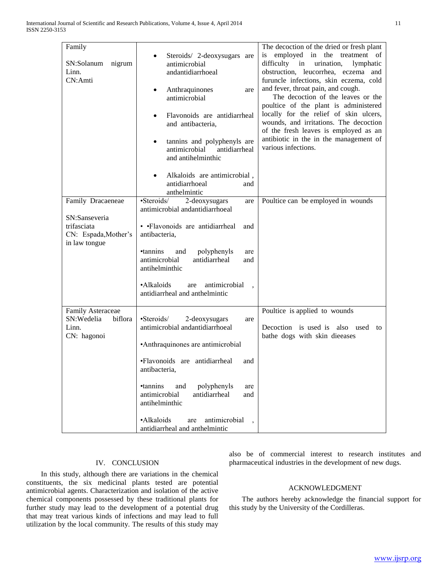| Family<br>SN:Solanum<br>nigrum<br>Linn.<br>CN:Amti | Steroids/ 2-deoxysugars are<br>antimicrobial<br>andantidiarrhoeal<br>Anthraquinones<br>$\bullet$<br>are<br>antimicrobial                                           | The decoction of the dried or fresh plant<br>is employed in the treatment of<br>difficulty in<br>urination,<br>lymphatic<br>obstruction, leucorrhea, eczema and<br>furuncle infections, skin eczema, cold<br>and fever, throat pain, and cough.<br>The decoction of the leaves or the |
|----------------------------------------------------|--------------------------------------------------------------------------------------------------------------------------------------------------------------------|---------------------------------------------------------------------------------------------------------------------------------------------------------------------------------------------------------------------------------------------------------------------------------------|
|                                                    | Flavonoids are antidiarrheal<br>$\bullet$<br>and antibacteria,<br>tannins and polyphenyls are<br>$\bullet$<br>antimicrobial<br>antidiarrheal<br>and antihelminthic | poultice of the plant is administered<br>locally for the relief of skin ulcers,<br>wounds, and irritations. The decoction<br>of the fresh leaves is employed as an<br>antibiotic in the in the management of<br>various infections.                                                   |
|                                                    | Alkaloids are antimicrobial,<br>$\bullet$<br>antidiarrhoeal<br>and<br>anthelmintic                                                                                 |                                                                                                                                                                                                                                                                                       |
| Family Dracaeneae                                  | •Steroids/<br>2-deoxysugars<br>are                                                                                                                                 | Poultice can be employed in wounds                                                                                                                                                                                                                                                    |
|                                                    | antimicrobial andantidiarrhoeal                                                                                                                                    |                                                                                                                                                                                                                                                                                       |
| SN:Sanseveria                                      |                                                                                                                                                                    |                                                                                                                                                                                                                                                                                       |
| trifasciata<br>CN: Espada, Mother's                | • • Flavonoids are antidiarrheal<br>and<br>antibacteria,                                                                                                           |                                                                                                                                                                                                                                                                                       |
| in law tongue                                      |                                                                                                                                                                    |                                                                                                                                                                                                                                                                                       |
|                                                    | <b>•tannins</b><br>polyphenyls<br>and<br>are                                                                                                                       |                                                                                                                                                                                                                                                                                       |
|                                                    | antimicrobial<br>antidiarrheal<br>and<br>antihelminthic                                                                                                            |                                                                                                                                                                                                                                                                                       |
|                                                    | •Alkaloids<br>antimicrobial<br>are<br>antidiarrheal and anthelmintic                                                                                               |                                                                                                                                                                                                                                                                                       |
| Family Asteraceae                                  |                                                                                                                                                                    | Poultice is applied to wounds                                                                                                                                                                                                                                                         |
| SN:Wedelia<br>biflora<br>Linn.<br>CN: hagonoi      | •Steroids/<br>2-deoxysugars<br>are<br>antimicrobial andantidiarrhoeal                                                                                              | Decoction is used is also used to                                                                                                                                                                                                                                                     |
|                                                    | •Anthraquinones are antimicrobial                                                                                                                                  | bathe dogs with skin dieeases                                                                                                                                                                                                                                                         |
|                                                    | •Flavonoids are antidiarrheal<br>and<br>antibacteria,                                                                                                              |                                                                                                                                                                                                                                                                                       |
|                                                    | <i>•tannins</i><br>and<br>polyphenyls<br>are<br>antimicrobial<br>antidiarrheal<br>and<br>antihelminthic                                                            |                                                                                                                                                                                                                                                                                       |
|                                                    | ·Alkaloids<br>antimicrobial<br>are<br>antidiarrheal and anthelmintic                                                                                               |                                                                                                                                                                                                                                                                                       |

# IV. CONCLUSION

 In this study, although there are variations in the chemical constituents, the six medicinal plants tested are potential antimicrobial agents. Characterization and isolation of the active chemical components possessed by these traditional plants for further study may lead to the development of a potential drug that may treat various kinds of infections and may lead to full utilization by the local community. The results of this study may

also be of commercial interest to research institutes and pharmaceutical industries in the development of new dugs.

## ACKNOWLEDGMENT

 The authors hereby acknowledge the financial support for this study by the University of the Cordilleras.